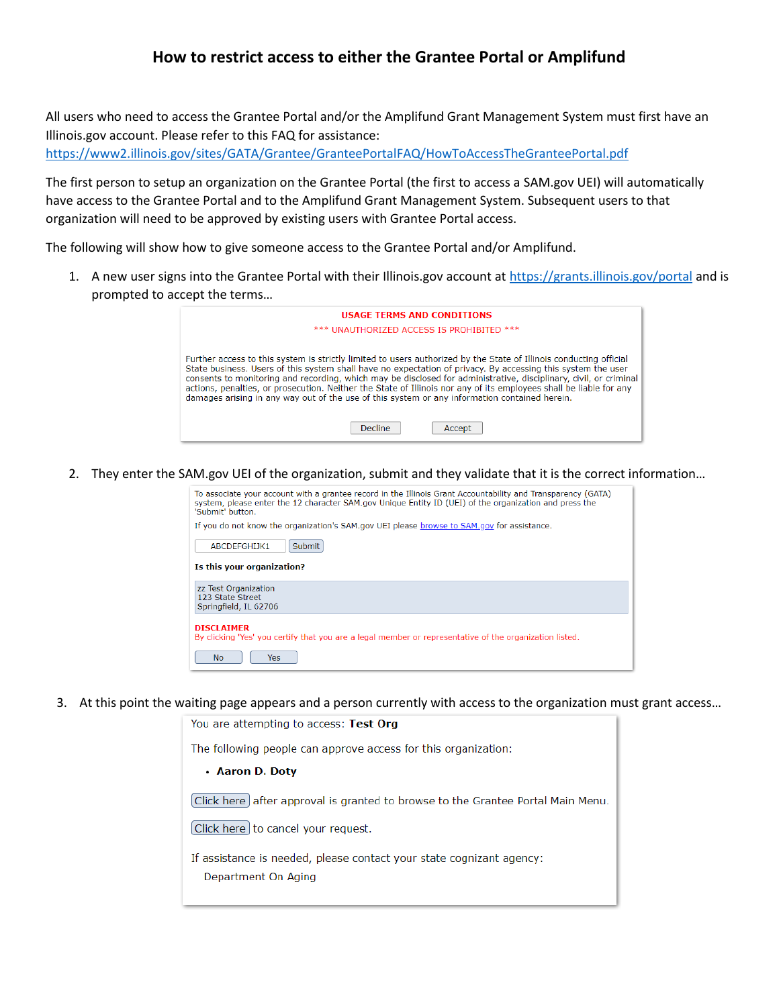## **How to restrict access to either the Grantee Portal or Amplifund**

All users who need to access the Grantee Portal and/or the Amplifund Grant Management System must first have an Illinois.gov account. Please refer to this FAQ for assistance: <https://www2.illinois.gov/sites/GATA/Grantee/GranteePortalFAQ/HowToAccessTheGranteePortal.pdf>

The first person to setup an organization on the Grantee Portal (the first to access a SAM.gov UEI) will automatically have access to the Grantee Portal and to the Amplifund Grant Management System. Subsequent users to that organization will need to be approved by existing users with Grantee Portal access.

The following will show how to give someone access to the Grantee Portal and/or Amplifund.

1. A new user signs into the Grantee Portal with their Illinois.gov account at<https://grants.illinois.gov/portal> and is prompted to accept the terms…

| <b>USAGE TERMS AND CONDITIONS</b>                                                                                                                                                                                                                                                                                                                                                                                                                                                                                                                                                                   |
|-----------------------------------------------------------------------------------------------------------------------------------------------------------------------------------------------------------------------------------------------------------------------------------------------------------------------------------------------------------------------------------------------------------------------------------------------------------------------------------------------------------------------------------------------------------------------------------------------------|
| *** UNAUTHORIZED ACCESS IS PROHIBITED                                                                                                                                                                                                                                                                                                                                                                                                                                                                                                                                                               |
| Further access to this system is strictly limited to users authorized by the State of Illinois conducting official<br>State business. Users of this system shall have no expectation of privacy. By accessing this system the user<br>consents to monitoring and recording, which may be disclosed for administrative, disciplinary, civil, or criminal<br>actions, penalties, or prosecution. Neither the State of Illinois nor any of its employees shall be liable for any<br>damages arising in any way out of the use of this system or any information contained herein.<br>Decline<br>Accept |

2. They enter the SAM.gov UEI of the organization, submit and they validate that it is the correct information…

| To associate your account with a grantee record in the Illinois Grant Accountability and Transparency (GATA)<br>system, please enter the 12 character SAM.gov Unique Entity ID (UEI) of the organization and press the<br>'Submit' button |  |  |
|-------------------------------------------------------------------------------------------------------------------------------------------------------------------------------------------------------------------------------------------|--|--|
| If you do not know the organization's SAM.gov UEI please browse to SAM.gov for assistance.                                                                                                                                                |  |  |
| <b>Submit</b><br>ABCDFFGHIJK1                                                                                                                                                                                                             |  |  |
| Is this your organization?                                                                                                                                                                                                                |  |  |
| zz Test Organization<br>123 State Street<br>Springfield, IL 62706                                                                                                                                                                         |  |  |
| <b>DISCLAIMER</b><br>By clicking 'Yes' you certify that you are a legal member or representative of the organization listed.                                                                                                              |  |  |
| N <sub>O</sub><br>Yes                                                                                                                                                                                                                     |  |  |

3. At this point the waiting page appears and a person currently with access to the organization must grant access…